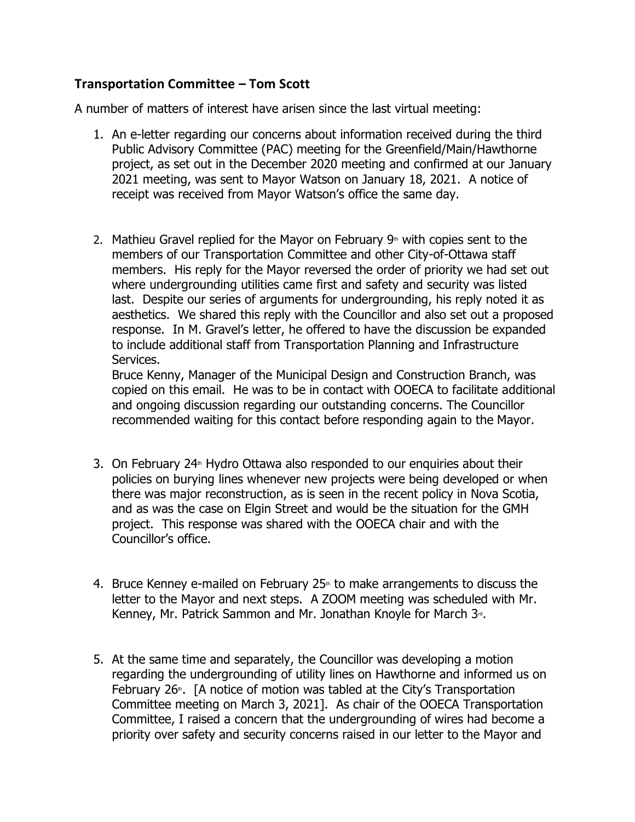## **Transportation Committee – Tom Scott**

A number of matters of interest have arisen since the last virtual meeting:

- 1. An e-letter regarding our concerns about information received during the third Public Advisory Committee (PAC) meeting for the Greenfield/Main/Hawthorne project, as set out in the December 2020 meeting and confirmed at our January 2021 meeting, was sent to Mayor Watson on January 18, 2021. A notice of receipt was received from Mayor Watson's office the same day.
- 2. Mathieu Gravel replied for the Mayor on February  $9<sup>th</sup>$  with copies sent to the members of our Transportation Committee and other City-of-Ottawa staff members. His reply for the Mayor reversed the order of priority we had set out where undergrounding utilities came first and safety and security was listed last. Despite our series of arguments for undergrounding, his reply noted it as aesthetics. We shared this reply with the Councillor and also set out a proposed response. In M. Gravel's letter, he offered to have the discussion be expanded to include additional staff from Transportation Planning and Infrastructure Services.

Bruce Kenny, Manager of the Municipal Design and Construction Branch, was copied on this email. He was to be in contact with OOECA to facilitate additional and ongoing discussion regarding our outstanding concerns. The Councillor recommended waiting for this contact before responding again to the Mayor.

- 3. On February 24<sup> $#$ </sup> Hydro Ottawa also responded to our enquiries about their policies on burying lines whenever new projects were being developed or when there was major reconstruction, as is seen in the recent policy in Nova Scotia, and as was the case on Elgin Street and would be the situation for the GMH project. This response was shared with the OOECA chair and with the Councillor's office.
- 4. Bruce Kenney e-mailed on February  $25<sup>*</sup>$  to make arrangements to discuss the letter to the Mayor and next steps. A ZOOM meeting was scheduled with Mr. Kenney, Mr. Patrick Sammon and Mr. Jonathan Knoyle for March 3<sup>rd</sup>.
- 5. At the same time and separately, the Councillor was developing a motion regarding the undergrounding of utility lines on Hawthorne and informed us on February 26<sup>th</sup>. [A notice of motion was tabled at the City's Transportation Committee meeting on March 3, 2021]. As chair of the OOECA Transportation Committee, I raised a concern that the undergrounding of wires had become a priority over safety and security concerns raised in our letter to the Mayor and